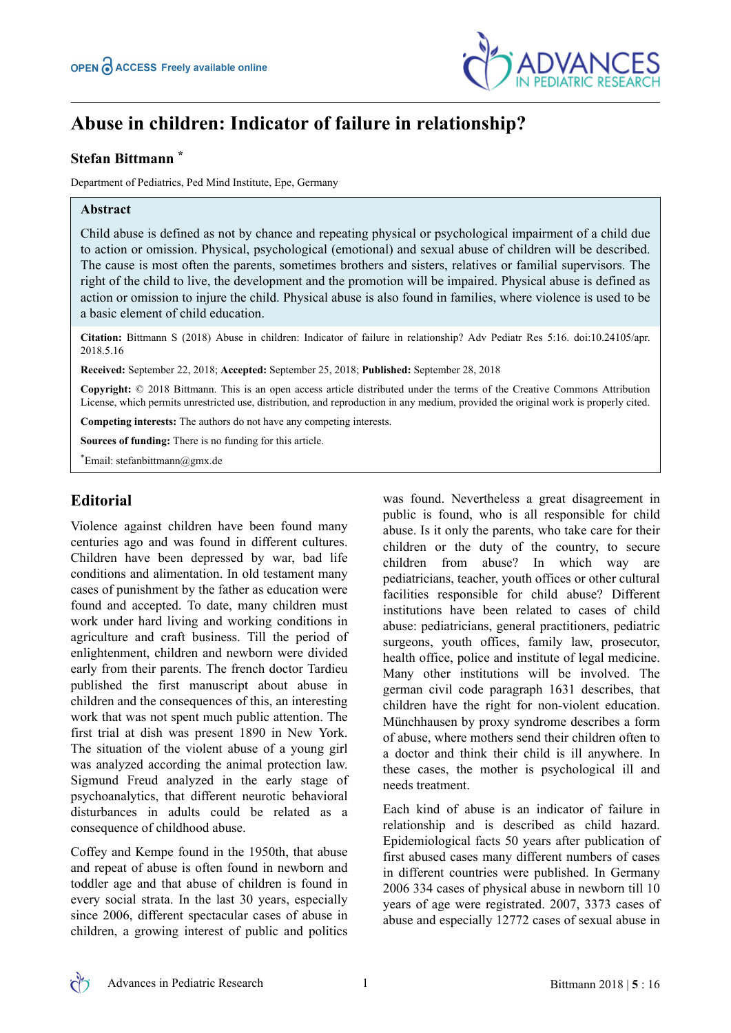

# **Abuse in children: Indicator of failure in relationship?**

### **Stefan Bittmann \***

Department of Pediatrics, Ped Mind Institute, Epe, Germany

#### **Abstract**

Child abuse is defined as not by chance and repeating physical or psychological impairment of a child due to action or omission. Physical, psychological (emotional) and sexual abuse of children will be described. The cause is most often the parents, sometimes brothers and sisters, relatives or familial supervisors. The right of the child to live, the development and the promotion will be impaired. Physical abuse is defined as action or omission to injure the child. Physical abuse is also found in families, where violence is used to be a basic element of child education.

**Citation:** Bittmann S (2018) Abuse in children: Indicator of failure in relationship? Adv Pediatr Res 5:16. doi:10.24105/apr. 2018.5.16

**Received:** September 22, 2018; **Accepted:** September 25, 2018; **Published:** September 28, 2018

**Copyright:** © 2018 Bittmann. This is an open access article distributed under the terms of the Creative Commons Attribution License, which permits unrestricted use, distribution, and reproduction in any medium, provided the original work is properly cited.

**Competing interests:** The authors do not have any competing interests.

**Sources of funding:** There is no funding for this article.

\*Email: stefanbittmann@gmx.de

## **Editorial**

Violence against children have been found many centuries ago and was found in different cultures. Children have been depressed by war, bad life conditions and alimentation. In old testament many cases of punishment by the father as education were found and accepted. To date, many children must work under hard living and working conditions in agriculture and craft business. Till the period of enlightenment, children and newborn were divided early from their parents. The french doctor Tardieu published the first manuscript about abuse in children and the consequences of this, an interesting work that was not spent much public attention. The first trial at dish was present 1890 in New York. The situation of the violent abuse of a young girl was analyzed according the animal protection law. Sigmund Freud analyzed in the early stage of psychoanalytics, that different neurotic behavioral disturbances in adults could be related as a consequence of childhood abuse.

Coffey and Kempe found in the 1950th, that abuse and repeat of abuse is often found in newborn and toddler age and that abuse of children is found in every social strata. In the last 30 years, especially since 2006, different spectacular cases of abuse in children, a growing interest of public and politics

was found. Nevertheless a great disagreement in public is found, who is all responsible for child abuse. Is it only the parents, who take care for their children or the duty of the country, to secure children from abuse? In which way are pediatricians, teacher, youth offices or other cultural facilities responsible for child abuse? Different institutions have been related to cases of child abuse: pediatricians, general practitioners, pediatric surgeons, youth offices, family law, prosecutor, health office, police and institute of legal medicine. Many other institutions will be involved. The german civil code paragraph 1631 describes, that children have the right for non-violent education. Münchhausen by proxy syndrome describes a form of abuse, where mothers send their children often to a doctor and think their child is ill anywhere. In these cases, the mother is psychological ill and needs treatment.

Each kind of abuse is an indicator of failure in relationship and is described as child hazard. Epidemiological facts 50 years after publication of first abused cases many different numbers of cases in different countries were published. In Germany 2006 334 cases of physical abuse in newborn till 10 years of age were registrated. 2007, 3373 cases of abuse and especially 12772 cases of sexual abuse in